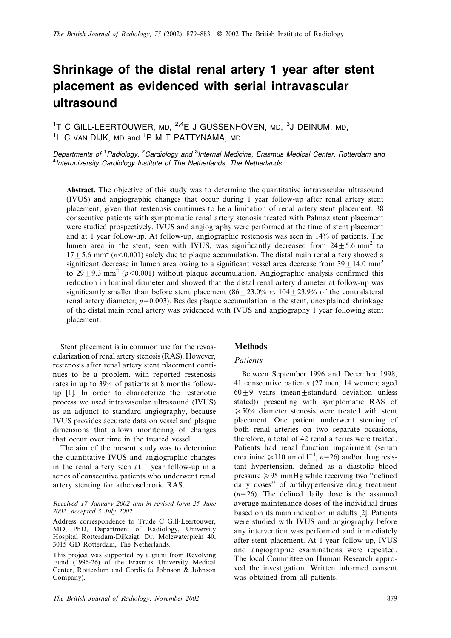# Shrinkage of the distal renal artery 1 year after stent placement as evidenced with serial intravascular ultrasound

<sup>1</sup>T C GILL-LEERTOUWER, MD, <sup>2,4</sup>E J GUSSENHOVEN, MD, <sup>3</sup>J DEINUM, MD, <sup>1</sup>L C VAN DIJK, MD and <sup>1</sup>P M T PATTYNAMA, MD

Departments of <sup>1</sup> Radiology, <sup>2</sup> Cardiology and <sup>3</sup> Internal Medicine, Erasmus Medical Center, Rotterdam and <sup>4</sup> Interuniversity Cardiology Institute of The Netherlands, The Netherlands

Abstract. The objective of this study was to determine the quantitative intravascular ultrasound (IVUS) and angiographic changes that occur during 1 year follow-up after renal artery stent placement, given that restenosis continues to be a limitation of renal artery stent placement. 38 consecutive patients with symptomatic renal artery stenosis treated with Palmaz stent placement were studied prospectively. IVUS and angiography were performed at the time of stent placement and at 1 year follow-up. At follow-up, angiographic restenosis was seen in 14% of patients. The lumen area in the stent, seen with IVUS, was significantly decreased from  $24 \pm 5.6$  mm<sup>2</sup> to  $17+5.6$  mm<sup>2</sup> ( $p<0.001$ ) solely due to plaque accumulation. The distal main renal artery showed a significant decrease in lumen area owing to a significant vessel area decrease from  $39 + 14.0$  mm<sup>2</sup> to  $29 \pm 9.3$  mm<sup>2</sup> ( $p < 0.001$ ) without plaque accumulation. Angiographic analysis confirmed this reduction in luminal diameter and showed that the distal renal artery diameter at follow-up was significantly smaller than before stent placement  $(86 \pm 23.0\% \text{ vs } 104 \pm 23.9\% \text{ of the contralateral})$ renal artery diameter;  $p=0.003$ ). Besides plaque accumulation in the stent, unexplained shrinkage of the distal main renal artery was evidenced with IVUS and angiography 1 year following stent placement.

Stent placement is in common use for the revascularization of renal artery stenosis (RAS). However, restenosis after renal artery stent placement continues to be a problem, with reported restenosis rates in up to 39% of patients at 8 months followup [1]. In order to characterize the restenotic process we used intravascular ultrasound (IVUS) as an adjunct to standard angiography, because IVUS provides accurate data on vessel and plaque dimensions that allows monitoring of changes that occur over time in the treated vessel.

The aim of the present study was to determine the quantitative IVUS and angiographic changes in the renal artery seen at 1 year follow-up in a series of consecutive patients who underwent renal artery stenting for atherosclerotic RAS.

Received 17 January 2002 and in revised form 25 June 2002, accepted 3 July 2002.

Address correspondence to Trude C Gill-Leertouwer, MD, PhD, Department of Radiology, University Hospital Rotterdam-Dijkzigt, Dr. Molewaterplein 40, 3015 GD Rotterdam, The Netherlands.

This project was supported by a grant from Revolving Fund (1996-26) of the Erasmus University Medical Center, Rotterdam and Cordis (a Johnson & Johnson Company).

#### **Methods**

#### **Patients**

Between September 1996 and December 1998, 41 consecutive patients (27 men, 14 women; aged  $60 \pm 9$  years (mean  $\pm$  standard deviation unless stated)) presenting with symptomatic RAS of  $\geq 50\%$  diameter stenosis were treated with stent placement. One patient underwent stenting of both renal arteries on two separate occasions, therefore, a total of 42 renal arteries were treated. Patients had renal function impairment (serum creatinine  $\geq 110$  µmol  $1^{-1}$ ; *n*=26) and/or drug resistant hypertension, defined as a diastolic blood pressure  $\geq 95$  mmHg while receiving two "defined" daily doses'' of antihypertensive drug treatment  $(n=26)$ . The defined daily dose is the assumed average maintenance doses of the individual drugs based on its main indication in adults [2]. Patients were studied with IVUS and angiography before any intervention was performed and immediately after stent placement. At 1 year follow-up, IVUS and angiographic examinations were repeated. The local Committee on Human Research approved the investigation. Written informed consent was obtained from all patients.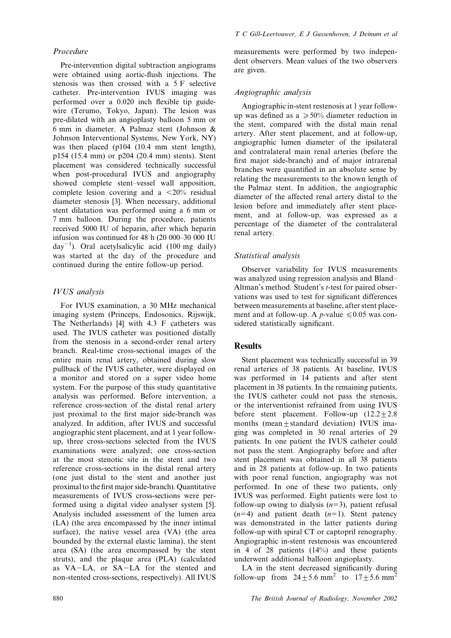## Procedure

Pre-intervention digital subtraction angiograms were obtained using aortic-flush injections. The stenosis was then crossed with a 5 F selective catheter. Pre-intervention IVUS imaging was performed over a 0.020 inch flexible tip guidewire (Terumo, Tokyo, Japan). The lesion was pre-dilated with an angioplasty balloon 5 mm or 6 mm in diameter. A Palmaz stent (Johnson & Johnson Interventional Systems, New York, NY) was then placed (p104 (10.4 mm stent length), p154 (15.4 mm) or p204 (20.4 mm) stents). Stent placement was considered technically successful when post-procedural IVUS and angiography showed complete stent–vessel wall apposition, complete lesion covering and a  $\langle 20\% \rangle$  residual diameter stenosis [3]. When necessary, additional stent dilatation was performed using a 6 mm or 7 mm balloon. During the procedure, patients received 5000 IU of heparin, after which heparin infusion was continued for 48 h (20 000–30 000 IU  $day^{-1}$ ). Oral acetylsalicylic acid (100 mg daily) was started at the day of the procedure and continued during the entire follow-up period.

## IVUS analysis

For IVUS examination, a 30 MHz mechanical imaging system (Princeps, Endosonics, Rijswijk, The Netherlands) [4] with 4.3 F catheters was used. The IVUS catheter was positioned distally from the stenosis in a second-order renal artery branch. Real-time cross-sectional images of the entire main renal artery, obtained during slow pullback of the IVUS catheter, were displayed on a monitor and stored on a super video home system. For the purpose of this study quantitative analysis was performed. Before intervention, a reference cross-section of the distal renal artery just proximal to the first major side-branch was analyzed. In addition, after IVUS and successful angiographic stent placement, and at 1 year followup, three cross-sections selected from the IVUS examinations were analyzed; one cross-section at the most stenotic site in the stent and two reference cross-sections in the distal renal artery (one just distal to the stent and another just proximal to the first major side-branch). Quantitative measurements of IVUS cross-sections were performed using a digital video analyser system [5]. Analysis included assessment of the lumen area (LA) (the area encompassed by the inner intimal surface), the native vessel area (VA) (the area bounded by the external elastic lamina), the stent area (SA) (the area encompassed by the stent struts), and the plaque area (PLA) (calculated as VA-LA, or SA-LA for the stented and non-stented cross-sections, respectively). All IVUS

measurements were performed by two independent observers. Mean values of the two observers are given.

## Angiographic analysis

Angiographic in-stent restenosis at 1 year followup was defined as a  $\geq 50\%$  diameter reduction in the stent, compared with the distal main renal artery. After stent placement, and at follow-up, angiographic lumen diameter of the ipsilateral and contralateral main renal arteries (before the first major side-branch) and of major intrarenal branches were quantified in an absolute sense by relating the measurements to the known length of the Palmaz stent. In addition, the angiographic diameter of the affected renal artery distal to the lesion before and immediately after stent placement, and at follow-up, was expressed as a percentage of the diameter of the contralateral renal artery.

# Statistical analysis

Observer variability for IVUS measurements was analyzed using regression analysis and Bland– Altman's method. Student's t-test for paired observations was used to test for significant differences between measurements at baseline, after stent placement and at follow-up. A *p*-value  $\leq 0.05$  was considered statistically significant.

## **Results**

Stent placement was technically successful in 39 renal arteries of 38 patients. At baseline, IVUS was performed in 14 patients and after stent placement in 38 patients. In the remaining patients, the IVUS catheter could not pass the stenosis, or the interventionist refrained from using IVUS before stent placement. Follow-up  $(12.2+2.8$ months (mean $+$ standard deviation) IVUS imaging was completed in 30 renal arteries of 29 patients. In one patient the IVUS catheter could not pass the stent. Angiography before and after stent placement was obtained in all 38 patients and in 28 patients at follow-up. In two patients with poor renal function, angiography was not performed. In one of these two patients, only IVUS was performed. Eight patients were lost to follow-up owing to dialysis  $(n=3)$ , patient refusal  $(n=4)$  and patient death  $(n=1)$ . Stent patency was demonstrated in the latter patients during follow-up with spiral CT or captopril renography. Angiographic in-stent restenosis was encountered in 4 of 28 patients (14%) and these patients underwent additional balloon angioplasty.

LA in the stent decreased significantly during follow-up from  $24 \pm 5.6$  mm<sup>2</sup> to  $17 \pm 5.6$  mm<sup>2</sup>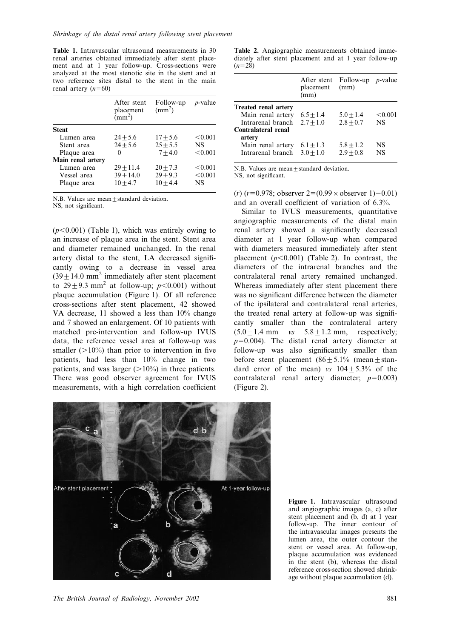Table 1. Intravascular ultrasound measurements in 30 renal arteries obtained immediately after stent placement and at 1 year follow-up. Cross-sections were analyzed at the most stenotic site in the stent and at two reference sites distal to the stent in the main renal artery  $(n=60)$ 

|                   | After stent<br>placement<br>$\text{m}^2$ | Follow-up<br>$\text{m}^2$ | <i>p</i> -value |
|-------------------|------------------------------------------|---------------------------|-----------------|
| <b>Stent</b>      |                                          |                           |                 |
| Lumen area        | $24 + 5.6$                               | $17 + 5.6$                | < 0.001         |
| Stent area        | $24 + 5.6$                               | $25 + 5.5$                | NS              |
| Plaque area       | 0                                        | $7 + 4.0$                 | < 0.001         |
| Main renal artery |                                          |                           |                 |
| Lumen area        | $29 + 11.4$                              | $20 + 7.3$                | < 0.001         |
| Vessel area       | $39 + 14.0$                              | $29 + 9.3$                | < 0.001         |
| Plaque area       | $10 + 4.7$                               | $10 + 4.4$                | NS              |

N.B. Values are mean $\pm$ standard deviation.

NS, not significant.

 $(p<0.001)$  (Table 1), which was entirely owing to an increase of plaque area in the stent. Stent area and diameter remained unchanged. In the renal artery distal to the stent, LA decreased significantly owing to a decrease in vessel area  $(39 \pm 14.0 \text{ mm}^2)$  immediately after stent placement to  $29 \pm 9.3$  mm<sup>2</sup> at follow-up;  $p < 0.001$ ) without plaque accumulation (Figure 1). Of all reference cross-sections after stent placement, 42 showed VA decrease, 11 showed a less than 10% change and 7 showed an enlargement. Of 10 patients with matched pre-intervention and follow-up IVUS data, the reference vessel area at follow-up was smaller  $(>10\%)$  than prior to intervention in five patients, had less than 10% change in two patients, and was larger  $(>10\%)$  in three patients. There was good observer agreement for IVUS measurements, with a high correlation coefficient

Table 2. Angiographic measurements obtained immediately after stent placement and at 1 year follow-up  $(n=28)$ 

|                      | placement<br>(mm) | After stent Follow-up $p$ -value<br>(mm) |           |
|----------------------|-------------------|------------------------------------------|-----------|
| Treated renal artery |                   |                                          |           |
| Main renal artery    | $6.5 + 1.4$       | $5.0 + 1.4$                              | < 0.001   |
| Intrarenal branch    | $2.7 + 1.0$       | $2.8 + 0.7$                              | NS.       |
| Contralateral renal  |                   |                                          |           |
| artery               |                   |                                          |           |
| Main renal artery    | $6.1 + 1.3$       | $5.8 + 1.2$                              | NS        |
| Intrarenal branch    | $3.0 + 1.0$       | $2.9 + 0.8$                              | <b>NS</b> |
|                      |                   |                                          |           |

N.B. Values are mean + standard deviation.

NS, not significant.

 $(r)$  (r=0.978; observer 2=(0.99  $\times$  observer 1)-0.01) and an overall coefficient of variation of 6.3%.

Similar to IVUS measurements, quantitative angiographic measurements of the distal main renal artery showed a significantly decreased diameter at 1 year follow-up when compared with diameters measured immediately after stent placement  $(p<0.001)$  (Table 2). In contrast, the diameters of the intrarenal branches and the contralateral renal artery remained unchanged. Whereas immediately after stent placement there was no significant difference between the diameter of the ipsilateral and contralateral renal arteries, the treated renal artery at follow-up was significantly smaller than the contralateral artery  $(5.0 \pm 1.4 \text{ mm} \text{ vs } 5.8 \pm 1.2 \text{ mm}, \text{ respectively};$  $p=0.004$ ). The distal renal artery diameter at follow-up was also significantly smaller than before stent placement  $(86+5.1\%$  (mean + standard error of the mean) vs  $104 \pm 5.3\%$  of the contralateral renal artery diameter;  $p=0.003$ ) (Figure 2).



Figure 1. Intravascular ultrasound and angiographic images (a, c) after stent placement and (b, d) at 1 year follow-up. The inner contour of the intravascular images presents the lumen area, the outer contour the stent or vessel area. At follow-up, plaque accumulation was evidenced in the stent (b), whereas the distal reference cross-section showed shrinkage without plaque accumulation (d).

The British Journal of Radiology, November 2002 881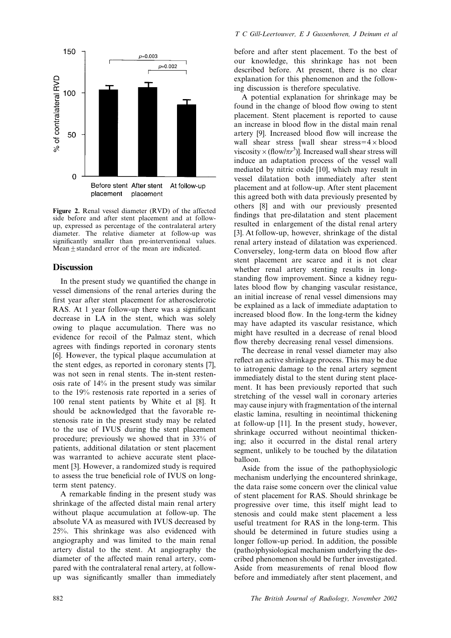

Figure 2. Renal vessel diameter (RVD) of the affected side before and after stent placement and at followup, expressed as percentage of the contralateral artery diameter. The relative diameter at follow-up was significantly smaller than pre-interventional values.  $Mean + standard error of the mean are indicated.$ 

#### **Discussion**

In the present study we quantified the change in vessel dimensions of the renal arteries during the first year after stent placement for atherosclerotic RAS. At 1 year follow-up there was a significant decrease in LA in the stent, which was solely owing to plaque accumulation. There was no evidence for recoil of the Palmaz stent, which agrees with findings reported in coronary stents [6]. However, the typical plaque accumulation at the stent edges, as reported in coronary stents [7], was not seen in renal stents. The in-stent restenosis rate of 14% in the present study was similar to the 19% restenosis rate reported in a series of 100 renal stent patients by White et al [8]. It should be acknowledged that the favorable restenosis rate in the present study may be related to the use of IVUS during the stent placement procedure; previously we showed that in 33% of patients, additional dilatation or stent placement was warranted to achieve accurate stent placement [3]. However, a randomized study is required to assess the true beneficial role of IVUS on longterm stent patency.

A remarkable finding in the present study was shrinkage of the affected distal main renal artery without plaque accumulation at follow-up. The absolute VA as measured with IVUS decreased by 25%. This shrinkage was also evidenced with angiography and was limited to the main renal artery distal to the stent. At angiography the diameter of the affected main renal artery, compared with the contralateral renal artery, at followup was significantly smaller than immediately

before and after stent placement. To the best of our knowledge, this shrinkage has not been described before. At present, there is no clear explanation for this phenomenon and the following discussion is therefore speculative.

A potential explanation for shrinkage may be found in the change of blood flow owing to stent placement. Stent placement is reported to cause an increase in blood flow in the distal main renal artery [9]. Increased blood flow will increase the wall shear stress [wall shear stress= $4 \times$ blood viscosity  $\times$  (flow/ $\pi r^3$ )]. Increased wall shear stress will induce an adaptation process of the vessel wall mediated by nitric oxide [10], which may result in vessel dilatation both immediately after stent placement and at follow-up. After stent placement this agreed both with data previously presented by others [8] and with our previously presented findings that pre-dilatation and stent placement resulted in enlargement of the distal renal artery [3]. At follow-up, however, shrinkage of the distal renal artery instead of dilatation was experienced. Converseley, long-term data on blood flow after stent placement are scarce and it is not clear whether renal artery stenting results in longstanding flow improvement. Since a kidney regulates blood flow by changing vascular resistance, an initial increase of renal vessel dimensions may be explained as a lack of immediate adaptation to increased blood flow. In the long-term the kidney may have adapted its vascular resistance, which might have resulted in a decrease of renal blood flow thereby decreasing renal vessel dimensions.

The decrease in renal vessel diameter may also reflect an active shrinkage process. This may be due to iatrogenic damage to the renal artery segment immediately distal to the stent during stent placement. It has been previously reported that such stretching of the vessel wall in coronary arteries may cause injury with fragmentation of the internal elastic lamina, resulting in neointimal thickening at follow-up [11]. In the present study, however, shrinkage occurred without neointimal thickening; also it occurred in the distal renal artery segment, unlikely to be touched by the dilatation balloon.

Aside from the issue of the pathophysiologic mechanism underlying the encountered shrinkage, the data raise some concern over the clinical value of stent placement for RAS. Should shrinkage be progressive over time, this itself might lead to stenosis and could make stent placement a less useful treatment for RAS in the long-term. This should be determined in future studies using a longer follow-up period. In addition, the possible (patho)physiological mechanism underlying the described phenomenon should be further investigated. Aside from measurements of renal blood flow before and immediately after stent placement, and